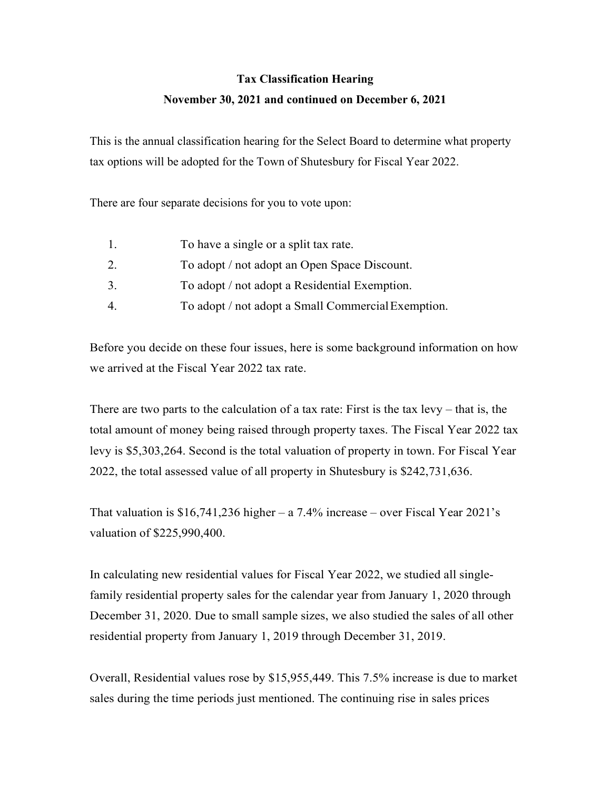## Tax Classification Hearing November 30, 2021 and continued on December 6, 2021

This is the annual classification hearing for the Select Board to determine what property tax options will be adopted for the Town of Shutesbury for Fiscal Year 2022.

There are four separate decisions for you to vote upon:

- 1. To have a single or a split tax rate.
- 2. To adopt / not adopt an Open Space Discount.
- 3. To adopt / not adopt a Residential Exemption.
- 4. To adopt / not adopt a Small Commercial Exemption.

Before you decide on these four issues, here is some background information on how we arrived at the Fiscal Year 2022 tax rate.

There are two parts to the calculation of a tax rate: First is the tax levy – that is, the total amount of money being raised through property taxes. The Fiscal Year 2022 tax levy is \$5,303,264. Second is the total valuation of property in town. For Fiscal Year 2022, the total assessed value of all property in Shutesbury is \$242,731,636.

That valuation is  $$16,741,236$  higher – a 7.4% increase – over Fiscal Year 2021's valuation of \$225,990,400.

In calculating new residential values for Fiscal Year 2022, we studied all singlefamily residential property sales for the calendar year from January 1, 2020 through December 31, 2020. Due to small sample sizes, we also studied the sales of all other residential property from January 1, 2019 through December 31, 2019.

Overall, Residential values rose by \$15,955,449. This 7.5% increase is due to market sales during the time periods just mentioned. The continuing rise in sales prices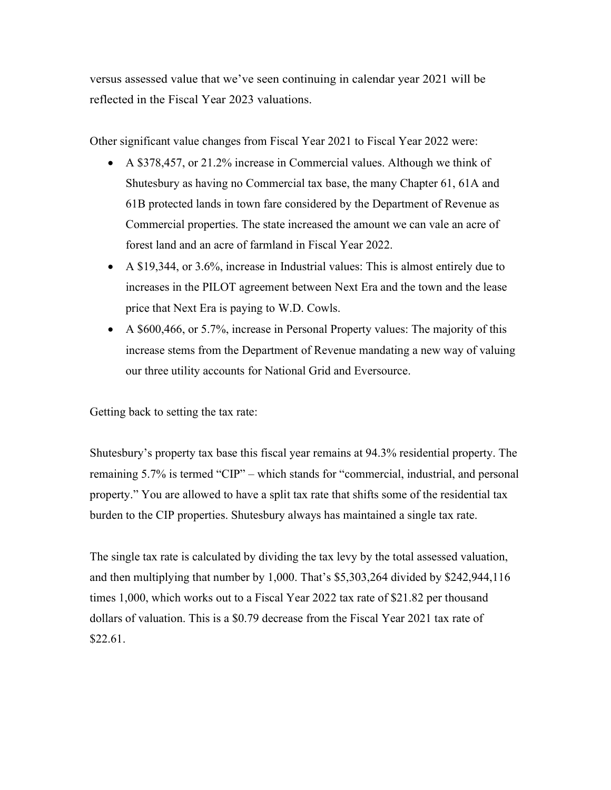versus assessed value that we've seen continuing in calendar year 2021 will be reflected in the Fiscal Year 2023 valuations.

Other significant value changes from Fiscal Year 2021 to Fiscal Year 2022 were:

- A \$378,457, or 21.2% increase in Commercial values. Although we think of Shutesbury as having no Commercial tax base, the many Chapter 61, 61A and 61B protected lands in town fare considered by the Department of Revenue as Commercial properties. The state increased the amount we can vale an acre of forest land and an acre of farmland in Fiscal Year 2022.
- A \$19,344, or 3.6%, increase in Industrial values: This is almost entirely due to increases in the PILOT agreement between Next Era and the town and the lease price that Next Era is paying to W.D. Cowls.
- A \$600,466, or 5.7%, increase in Personal Property values: The majority of this increase stems from the Department of Revenue mandating a new way of valuing our three utility accounts for National Grid and Eversource.

Getting back to setting the tax rate:

Shutesbury's property tax base this fiscal year remains at 94.3% residential property. The remaining 5.7% is termed "CIP" – which stands for "commercial, industrial, and personal property." You are allowed to have a split tax rate that shifts some of the residential tax burden to the CIP properties. Shutesbury always has maintained a single tax rate.

The single tax rate is calculated by dividing the tax levy by the total assessed valuation, and then multiplying that number by 1,000. That's \$5,303,264 divided by \$242,944,116 times 1,000, which works out to a Fiscal Year 2022 tax rate of \$21.82 per thousand dollars of valuation. This is a \$0.79 decrease from the Fiscal Year 2021 tax rate of \$22.61.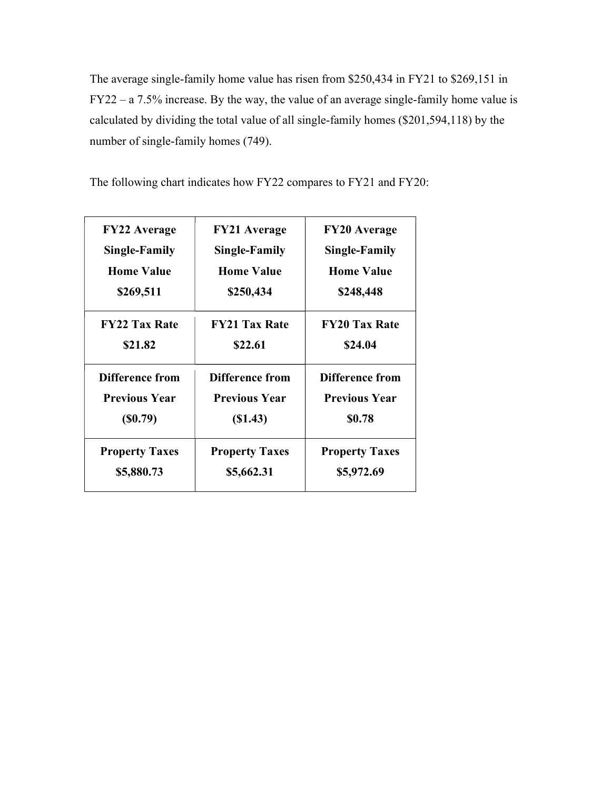The average single-family home value has risen from \$250,434 in FY21 to \$269,151 in FY22 – a 7.5% increase. By the way, the value of an average single-family home value is calculated by dividing the total value of all single-family homes (\$201,594,118) by the number of single-family homes (749).

The following chart indicates how FY22 compares to FY21 and FY20:

| <b>FY22 Average</b>   | <b>FY21 Average</b>   | <b>FY20 Average</b>    |
|-----------------------|-----------------------|------------------------|
| Single-Family         | Single-Family         | Single-Family          |
| <b>Home Value</b>     | <b>Home Value</b>     | <b>Home Value</b>      |
| \$269,511             | \$250,434             | \$248,448              |
| <b>FY22 Tax Rate</b>  | <b>FY21 Tax Rate</b>  | <b>FY20 Tax Rate</b>   |
| \$21.82               | \$22.61               | \$24.04                |
| Difference from       | Difference from       | <b>Difference from</b> |
| <b>Previous Year</b>  | <b>Previous Year</b>  | <b>Previous Year</b>   |
| (S0.79)               | (S1.43)               | \$0.78                 |
| <b>Property Taxes</b> | <b>Property Taxes</b> | <b>Property Taxes</b>  |
| \$5,880.73            | \$5,662.31            | \$5,972.69             |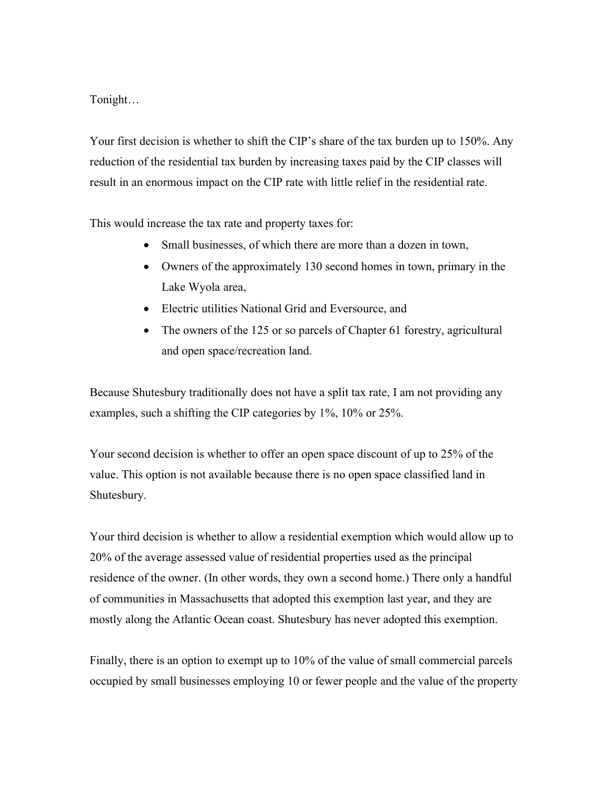## Tonight…

Your first decision is whether to shift the CIP's share of the tax burden up to 150%. Any reduction of the residential tax burden by increasing taxes paid by the CIP classes will result in an enormous impact on the CIP rate with little relief in the residential rate.

This would increase the tax rate and property taxes for:

- Small businesses, of which there are more than a dozen in town,
- Owners of the approximately 130 second homes in town, primary in the Lake Wyola area,
- Electric utilities National Grid and Eversource, and
- The owners of the 125 or so parcels of Chapter 61 forestry, agricultural and open space/recreation land.

Because Shutesbury traditionally does not have a split tax rate, I am not providing any examples, such a shifting the CIP categories by 1%, 10% or 25%.

Your second decision is whether to offer an open space discount of up to 25% of the value. This option is not available because there is no open space classified land in Shutesbury.

Your third decision is whether to allow a residential exemption which would allow up to 20% of the average assessed value of residential properties used as the principal residence of the owner. (In other words, they own a second home.) There only a handful of communities in Massachusetts that adopted this exemption last year, and they are mostly along the Atlantic Ocean coast. Shutesbury has never adopted this exemption.

Finally, there is an option to exempt up to 10% of the value of small commercial parcels occupied by small businesses employing 10 or fewer people and the value of the property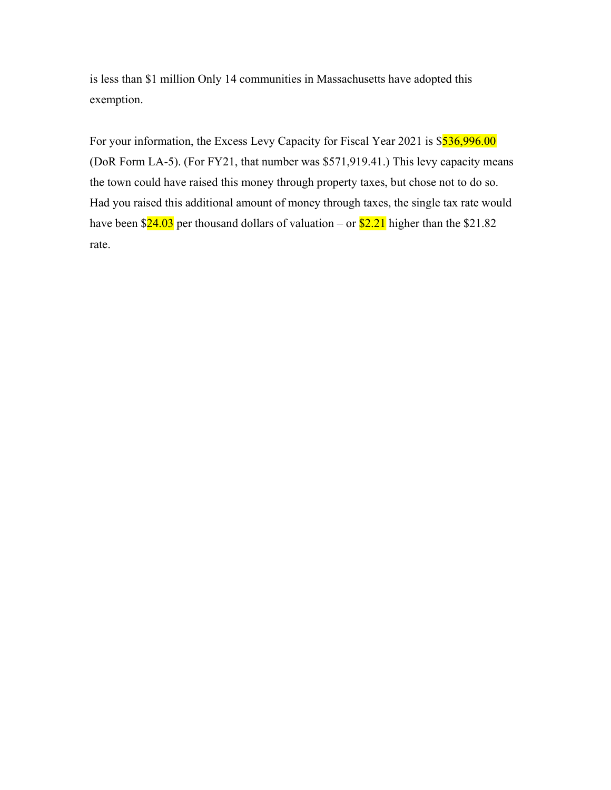is less than \$1 million Only 14 communities in Massachusetts have adopted this exemption.

For your information, the Excess Levy Capacity for Fiscal Year 2021 is \$536,996.00 (DoR Form LA-5). (For FY21, that number was \$571,919.41.) This levy capacity means the town could have raised this money through property taxes, but chose not to do so. Had you raised this additional amount of money through taxes, the single tax rate would have been  $\frac{$24.03}{}$  per thousand dollars of valuation – or  $\frac{$2.21}{}$  higher than the \$21.82 rate.